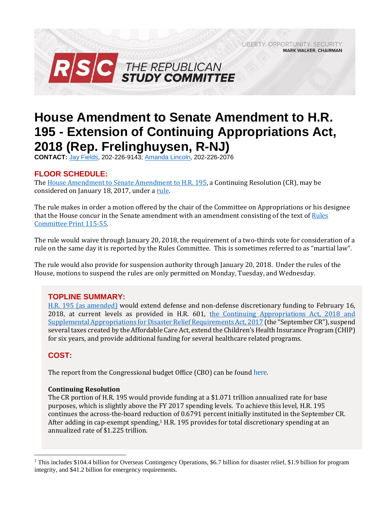LIBERTY, OPPORTUNITY, SECURITY, **MARK WALKER, CHAIRMAN** 



# **House Amendment to Senate Amendment to H.R. 195 - Extension of Continuing Appropriations Act, 2018 (Rep. Frelinghuysen, R-NJ)**

**CONTACT:** Jay [Fields,](mailto:jay.fields@mail.house.gov) 202-226-9143; [Amanda Lincoln,](mailto:amanda.lincoln@mail.house.gov) 202-226-2076

# **FLOOR SCHEDULE:**

Th[e House Amendment to Senate Amendment to H.R. 195,](http://docs.house.gov/billsthisweek/20180115/BILLS-115SAHR195-RCP115-55.pdf) a Continuing Resolution (CR), may be considered on January 18, 2017, under a [rule.](https://rules.house.gov/bill/115/hr-195-sa)

The rule makes in order a motion offered by the chair of the Committee on Appropriations or his designee that the House concur in the Senate amendment with an amendment consisting of the text of Rules [Committee Print 115-55.](http://docs.house.gov/billsthisweek/20180115/BILLS-115SAHR195-RCP115-55.pdf)

The rule would waive through January 20, 2018, the requirement of a two-thirds vote for consideration of a rule on the same day it is reported by the Rules Committee. This is sometimes referred to as "martial law".

The rule would also provide for suspension authority through January 20, 2018. Under the rules of the House, motions to suspend the rules are only permitted on Monday, Tuesday, and Wednesday.

# **TOPLINE SUMMARY:**

H.R. 195 [\(as amended\)](http://docs.house.gov/billsthisweek/20180115/BILLS-115SAHR195-RCP115-55.pdf) would extend defense and non-defense discretionary funding to February 16, 2018, at current levels as provided in H.R. 601, the Continuing Appropriations Act, 2018 and Supplemental Appropriations [for Disaster Relief Requirements Act, 2017](https://gallery.mailchimp.com/d4254037a343b683d142111e0/files/86067b86-49d6-4a66-bc77-1f24be4448e0/RSC_Legislative_Bulletin_HR_601_Hurricane_Supplemental_Debt_Limit_CR_September_8_2017.pdf) (the "September CR"), suspend several taxes created by the Affordable Care Act, extend the Children's Health Insurance Program (CHIP) for six years, and provide additional funding for several healthcare related programs.

# **COST:**

 $\overline{a}$ 

The report from the Congressional budget Office (CBO) can be found [here](https://www.cbo.gov/system/files/115th-congress-2017-2018/costestimate/rulescommitteeprint115-55-c.pdf).

## **Continuing Resolution**

The CR portion of H.R. 195 would provide funding at a \$1.071 trillion annualized rate for base purposes, which is slightly above the FY 2017 spending levels. To achieve this level, H.R. 195 continues the across-the-board reduction of 0.6791 percent initially instituted in the September CR. After adding in cap-exempt spending, $1$  H.R. 195 provides for total discretionary spending at an annualized rate of \$1.225 trillion.

<sup>&</sup>lt;sup>1</sup> This includes \$104.4 billion for Overseas Contingency Operations, \$6.7 billion for disaster relief, \$1.9 billion for program integrity, and \$41.2 billion for emergency requirements.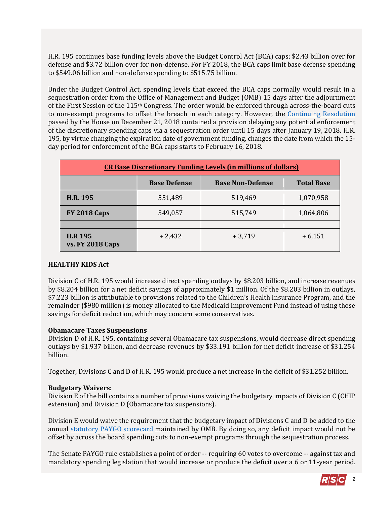H.R. 195 continues base funding levels above the Budget Control Act (BCA) caps: \$2.43 billion over for defense and \$3.72 billion over for non-defense. For FY 2018, the BCA caps limit base defense spending to \$549.06 billion and non-defense spending to \$515.75 billion.

Under the Budget Control Act, spending levels that exceed the BCA caps normally would result in a sequestration order from the Office of Management and Budget (OMB) 15 days after the adjournment of the First Session of the 115th Congress. The order would be enforced through across-the-board cuts to non-exempt programs to offset the breach in each category. However, the [Continuing Resolution](https://gallery.mailchimp.com/d4254037a343b683d142111e0/files/a56b88ed-0bc9-41df-befa-47f620eb0091/LB_Continuing_Resolution_Dec_22_FINAL.01.pdf) passed by the House on December 21, 2018 contained a provision delaying any potential enforcement of the discretionary spending caps via a sequestration order until 15 days after January 19, 2018. H.R. 195, by virtue changing the expiration date of government funding, changes the date from which the 15 day period for enforcement of the BCA caps starts to February 16, 2018.

| <b>CR Base Discretionary Funding Levels (in millions of dollars)</b> |                     |                         |                   |
|----------------------------------------------------------------------|---------------------|-------------------------|-------------------|
|                                                                      | <b>Base Defense</b> | <b>Base Non-Defense</b> | <b>Total Base</b> |
| <b>H.R. 195</b>                                                      | 551,489             | 519,469                 | 1,070,958         |
| <b>FY 2018 Caps</b>                                                  | 549,057             | 515,749                 | 1,064,806         |
|                                                                      |                     |                         |                   |
| <b>H.R 195</b><br><b>vs. FY 2018 Caps</b>                            | $+2,432$            | $+3,719$                | $+6,151$          |

## **HEALTHY KIDS Act**

Division C of H.R. 195 would increase direct spending outlays by \$8.203 billion, and increase revenues by \$8.204 billion for a net deficit savings of approximately \$1 million. Of the \$8.203 billion in outlays, \$7.223 billion is attributable to provisions related to the Children's Health Insurance Program, and the remainder (\$980 million) is money allocated to the Medicaid Improvement Fund instead of using those savings for deficit reduction, which may concern some conservatives.

#### **Obamacare Taxes Suspensions**

Division D of H.R. 195, containing several Obamacare tax suspensions, would decrease direct spending outlays by \$1.937 billion, and decrease revenues by \$33.191 billion for net deficit increase of \$31.254 billion.

Together, Divisions C and D of H.R. 195 would produce a net increase in the deficit of \$31.252 billion.

#### **Budgetary Waivers:**

Division E of the bill contains a number of provisions waiving the budgetary impacts of Division C (CHIP extension) and Division D (Obamacare tax suspensions).

Division E would waive the requirement that the budgetary impact of Divisions C and D be added to the annual [statutory PAYGO scorecard](https://www.pgpf.org/budget-basics/understanding-complex-budget-terms-and-processes-and-why-they-matter/what-is-paygo) maintained by OMB. By doing so, any deficit impact would not be offset by across the board spending cuts to non-exempt programs through the sequestration process.

The Senate PAYGO rule establishes a point of order -- requiring 60 votes to overcome -- against tax and mandatory spending legislation that would increase or produce the deficit over a 6 or 11-year period.

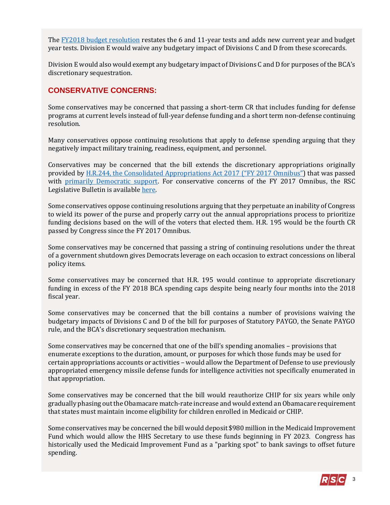The [FY2018 budget resolution](https://gallery.mailchimp.com/d4254037a343b683d142111e0/files/b3aad671-ec16-46b9-b098-4f2bf60797e6/RSC_Legislative_Bulletin_Senate_Amendment_to_H_Con_Res_71_October_26_2017.03.pdf) restates the 6 and 11-year tests and adds new current year and budget year tests. Division E would waive any budgetary impact of Divisions C and D from these scorecards.

Division E would also would exempt any budgetary impact of Divisions C and D for purposes of the BCA's discretionary sequestration.

## **CONSERVATIVE CONCERNS:**

Some conservatives may be concerned that passing a short-term CR that includes funding for defense programs at current levels instead of full-year defense funding and a short term non-defense continuing resolution.

Many conservatives oppose continuing resolutions that apply to defense spending arguing that they negatively impact military training, readiness, equipment, and personnel.

Conservatives may be concerned that the bill extends the discretionary appropriations originally provided by [H.R.244, the Consolidated Appropriations Act 2017 \("](http://rsc.walker.house.gov/files/2017LB/RSC_Legislative_Bulletin_HR_244_FY_2017_Omnibus_May_3_2017.pdf)[FY 2017 Omnibus](http://rsc.walker.house.gov/files/2017LB/RSC_Legislative_Bulletin_HR_244_FY_2017_Omnibus_May_3_2017.pdf)") that was passed with [primarily Democratic support.](http://clerk.house.gov/evs/2017/roll249.xml) For conservative concerns of the FY 2017 Omnibus, the RSC Legislative Bulletin is availabl[e here.](https://gallery.mailchimp.com/d4254037a343b683d142111e0/files/86067b86-49d6-4a66-bc77-1f24be4448e0/RSC_Legislative_Bulletin_HR_601_Hurricane_Supplemental_Debt_Limit_CR_September_8_2017.pdf)

Some conservatives oppose continuing resolutions arguing that they perpetuate an inability of Congress to wield its power of the purse and properly carry out the annual appropriations process to prioritize funding decisions based on the will of the voters that elected them. H.R. 195 would be the fourth CR passed by Congress since the FY 2017 Omnibus.

Some conservatives may be concerned that passing a string of continuing resolutions under the threat of a government shutdown gives Democrats leverage on each occasion to extract concessions on liberal policy items.

Some conservatives may be concerned that H.R. 195 would continue to appropriate discretionary funding in excess of the FY 2018 BCA spending caps despite being nearly four months into the 2018 fiscal year.

Some conservatives may be concerned that the bill contains a number of provisions waiving the budgetary impacts of Divisions C and D of the bill for purposes of Statutory PAYGO, the Senate PAYGO rule, and the BCA's discretionary sequestration mechanism.

Some conservatives may be concerned that one of the bill's spending anomalies – provisions that enumerate exceptions to the duration, amount, or purposes for which those funds may be used for certain appropriations accounts or activities – would allow the Department of Defense to use previously appropriated emergency missile defense funds for intelligence activities not specifically enumerated in that appropriation.

Some conservatives may be concerned that the bill would reauthorize CHIP for six years while only gradually phasing out the Obamacare match-rate increase and would extend an Obamacare requirement that states must maintain income eligibility for children enrolled in Medicaid or CHIP.

Some conservatives may be concerned the bill would deposit \$980 million in the Medicaid Improvement Fund which would allow the HHS Secretary to use these funds beginning in FY 2023. Congress has historically used the Medicaid Improvement Fund as a "parking spot" to bank savings to offset future spending.

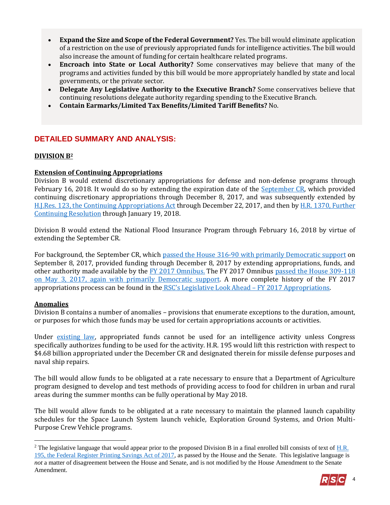- **Expand the Size and Scope of the Federal Government?** Yes. The bill would eliminate application of a restriction on the use of previously appropriated funds for intelligence activities. The bill would also increase the amount of funding for certain healthcare related programs.
- **Encroach into State or Local Authority?** Some conservatives may believe that many of the programs and activities funded by this bill would be more appropriately handled by state and local governments, or the private sector.
- **Delegate Any Legislative Authority to the Executive Branch?** Some conservatives believe that continuing resolutions delegate authority regarding spending to the Executive Branch.
- **Contain Earmarks/Limited Tax Benefits/Limited Tariff Benefits?** No.

## **DETAILED SUMMARY AND ANALYSIS:**

## **DIVISION B<sup>2</sup>**

## **Extension of Continuing Appropriations**

Division B would extend discretionary appropriations for defense and non-defense programs through February 16, 2018. It would do so by extending the expiration date of the **September CR**, which provided continuing discretionary appropriations through December 8, 2017, and was subsequently extended by [H.J.Res. 123, the Continuing Appropriations Act](https://gallery.mailchimp.com/d4254037a343b683d142111e0/files/7b9c40c5-76fb-4cc5-abbc-ad8e9f1f5b16/LB_HJRes_123_Dec_8_CR_FINAL.pdf) through December 22, 2017, and then by [H.R. 1370, Further](https://gallery.mailchimp.com/d4254037a343b683d142111e0/files/a56b88ed-0bc9-41df-befa-47f620eb0091/LB_Continuing_Resolution_Dec_22_FINAL.01.pdf)  [Continuing Resolution](https://gallery.mailchimp.com/d4254037a343b683d142111e0/files/a56b88ed-0bc9-41df-befa-47f620eb0091/LB_Continuing_Resolution_Dec_22_FINAL.01.pdf) through January 19, 2018.

Division B would extend the National Flood Insurance Program through February 16, 2018 by virtue of extending the September CR.

For background, the September CR, which [passed the House 316-90 with primarily Democratic support](http://clerk.house.gov/evs/2017/roll480.xml) on September 8, 2017, provided funding through December 8, 2017 by extending appropriations, funds, and other authority made available by [the FY 2017 Omnibus.](http://rsc.walker.house.gov/files/2017LB/RSC_Legislative_Bulletin_HR_244_FY_2017_Omnibus_May_3_2017.pdf) The FY 2017 Omnibus [passed the House 309-118](http://clerk.house.gov/evs/2017/roll249.xml)  [on May 3, 2017, again with primarily Democratic support.](http://clerk.house.gov/evs/2017/roll249.xml) A more complete history of the FY 2017 appropriations process can be found in the [RSC's Legislative Look Ahead –](https://gallery.mailchimp.com/d4254037a343b683d142111e0/files/d098b80e-7b7f-4753-9bdd-2fc68ea93c90/RSC_Legislative_Look_Ahead_FY_2017_Appropriations_April_25_2017.pdf) FY 2017 Appropriations.

## **Anomalies**

 $\overline{a}$ 

Division B contains a number of anomalies – provisions that enumerate exceptions to the duration, amount, or purposes for which those funds may be used for certain appropriations accounts or activities.

Under [existing law,](http://uscode.house.gov/view.xhtml?req=(title:50%20section:3094%20edition:prelim)%20OR%20(granuleid:USC-prelim-title50-section3094)&f=treesort&edition=prelim&num=0&jumpTo=true#substructure-location_a_1) appropriated funds cannot be used for an intelligence activity unless Congress specifically authorizes funding to be used for the activity. H.R. 195 would lift this restriction with respect to \$4.68 billion appropriated under the December CR and designated therein for missile defense purposes and naval ship repairs.

The bill would allow funds to be obligated at a rate necessary to ensure that a Department of Agriculture program designed to develop and test methods of providing access to food for children in urban and rural areas during the summer months can be fully operational by May 2018.

The bill would allow funds to be obligated at a rate necessary to maintain the planned launch capability schedules for the Space Launch System launch vehicle, Exploration Ground Systems, and Orion Multi-Purpose Crew Vehicle programs.

<sup>&</sup>lt;sup>2</sup> The legislative language that would appear prior to the proposed Division B in a final enrolled bill consists of text of  $H.R.$ [195, the Federal Register Printing Savings Act of 2017,](http://rsc.walker.house.gov/files/2017LB/RSC_Legislative_Bulletin_Suspensions_May_17_2017.01.pdf#page=10) as passed by the House and the Senate. This legislative language is *not* a matter of disagreement between the House and Senate, and is not modified by the House Amendment to the Senate Amendment.

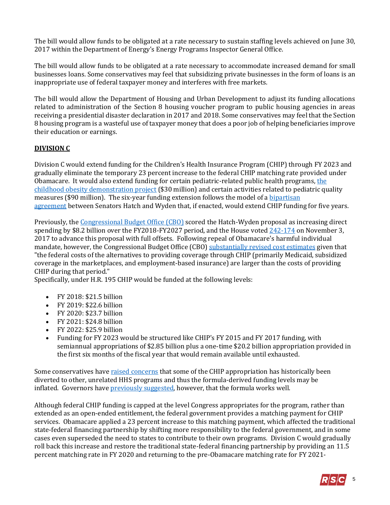The bill would allow funds to be obligated at a rate necessary to sustain staffing levels achieved on June 30, 2017 within the Department of Energy's Energy Programs Inspector General Office.

The bill would allow funds to be obligated at a rate necessary to accommodate increased demand for small businesses loans. Some conservatives may feel that subsidizing private businesses in the form of loans is an inappropriate use of federal taxpayer money and interferes with free markets.

The bill would allow the Department of Housing and Urban Development to adjust its funding allocations related to administration of the Section 8 housing voucher program to public housing agencies in areas receiving a presidential disaster declaration in 2017 and 2018. Some conservatives may feel that the Section 8 housing program is a wasteful use of taxpayer money that does a poor job of helping beneficiaries improve their education or earnings.

## **DIVISION C**

Division C would extend funding for the Children's Health Insurance Program (CHIP) through FY 2023 and gradually eliminate the temporary 23 percent increase to the federal CHIP matching rate provided under Obamacare. It would also extend funding for certain pediatric-related public health programs, the [childhood obesity demonstration project](https://aspe.hhs.gov/report/affordable-care-act-and-adolescents/childhood-obesity-demonstration-project) (\$30 million) and certain activities related to pediatric quality measures (\$90 million). The six-year funding extension follows the model of a [bipartisan](https://www.congress.gov/115/bills/s1827/BILLS-115s1827rs.pdf)  [agreement](https://www.congress.gov/115/bills/s1827/BILLS-115s1827rs.pdf) between Senators Hatch and Wyden that, if enacted, would extend CHIP funding for five years.

Previously, the [Congressional Budget Office \(CBO\)](https://www.cbo.gov/system/files/115th-congress-2017-2018/costestimate/s1827.pdf) scored the Hatch-Wyden proposal as increasing direct spending by \$8.2 billion over the FY2018-FY2027 period, and the House voted [242-174](http://clerk.house.gov/evs/2017/roll606.xml) on November 3, 2017 to advance this proposal with full offsets. Following repeal of Obamacare's harmful individual mandate, however, the Congressional Budget Office (CBO) [substantially revised cost estimates](https://www.cbo.gov/system/files/115th-congress-2017-2018/costestimate/s1827_0.pdf) given that "the federal costs of the alternatives to providing coverage through CHIP (primarily Medicaid, subsidized coverage in the marketplaces, and employment-based insurance) are larger than the costs of providing CHIP during that period."

Specifically, under H.R. 195 CHIP would be funded at the following levels:

- FY 2018: \$21.5 billion
- FY 2019: \$22.6 billion
- FY 2020: \$23.7 billion
- FY 2021: \$24.8 billion
- FY 2022: \$25.9 billion
- Funding for FY 2023 would be structured like CHIP's FY 2015 and FY 2017 funding, with semiannual appropriations of \$2.85 billion plus a one-time \$20.2 billion appropriation provided in the first six months of the fiscal year that would remain available until exhausted.

Some conservatives have [raised concerns](https://www.medpagetoday.com/publichealthpolicy/medicaid/68333) that some of the CHIP appropriation has historically been diverted to other, unrelated HHS programs and thus the formula-derived funding levels may be inflated. Governors have [previously suggested,](https://archives-energycommerce.house.gov/sites/republicans.energycommerce.house.gov/files/letters/20141203-CHIP-Response-Summary.pdf) however, that the formula works well.

Although federal CHIP funding is capped at the level Congress appropriates for the program, rather than extended as an open-ended entitlement, the federal government provides a matching payment for CHIP services. Obamacare applied a 23 percent increase to this matching payment, which affected the traditional state-federal financing partnership by shifting more responsibility to the federal government, and in some cases even superseded the need to states to contribute to their own programs. Division C would gradually roll back this increase and restore the traditional state-federal financing partnership by providing an 11.5 percent matching rate in FY 2020 and returning to the pre-Obamacare matching rate for FY 2021-

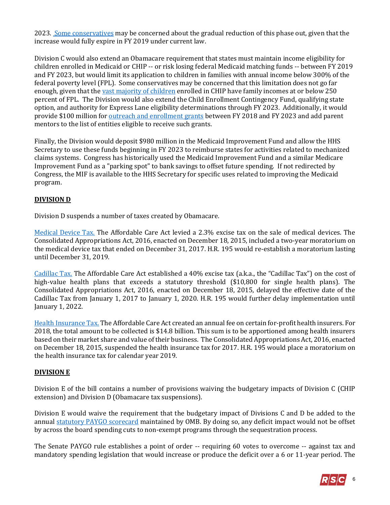2023. [Some conservatives](http://thefederalist.com/2018/01/08/republicans-ignore-promises-reform-state-health-insurance-subsidies/) may be concerned about the gradual reduction of this phase out, given that the increase would fully expire in FY 2019 under current law.

Division C would also extend an Obamacare requirement that states must maintain income eligibility for children enrolled in Medicaid or CHIP -- or risk losing federal Medicaid matching funds -- between FY 2019 and FY 2023, but would limit its application to children in families with annual income below 300% of the federal poverty level (FPL). Some conservatives may be concerned that this limitation does not go far enough, given that the [vast majority of children](https://www.macpac.gov/wp-content/uploads/2017/03/March-2017-Report-to-Congress-on-Medicaid-and-CHIP.pdf) enrolled in CHIP have family incomes at or below 250 percent of FPL. The Division would also extend the Child Enrollment Contingency Fund, qualifying state option, and authority for Express Lane eligibility determinations through FY 2023. Additionally, it would provide \$100 million for **[outreach and enrollment grants](https://www.insurekidsnow.gov/campaign/funding/index.html)** between FY 2018 and FY 2023 and add parent mentors to the list of entities eligible to receive such grants.

Finally, the Division would deposit \$980 million in the Medicaid Improvement Fund and allow the HHS Secretary to use these funds beginning in FY 2023 to reimburse states for activities related to mechanized claims systems. Congress has historically used the Medicaid Improvement Fund and a similar Medicare Improvement Fund as a "parking spot" to bank savings to offset future spending. If not redirected by Congress, the MIF is available to the HHS Secretary for specific uses related to improving the Medicaid program.

## **DIVISION D**

Division D suspends a number of taxes created by Obamacare.

[Medical Device Tax.](https://fas.org/sgp/crs/misc/R43342.pdf) The Affordable Care Act levied a 2.3% excise tax on the sale of medical devices. The Consolidated Appropriations Act, 2016, enacted on December 18, 2015, included a two-year moratorium on the medical device tax that ended on December 31, 2017. H.R. 195 would re-establish a moratorium lasting until December 31, 2019.

[Cadillac Tax.](https://fas.org/sgp/crs/misc/R44147.pdf) The Affordable Care Act established a 40% excise tax (a.k.a., the "Cadillac Tax") on the cost of high-value health plans that exceeds a statutory threshold (\$10,800 for single health plans). The Consolidated Appropriations Act, 2016, enacted on December 18, 2015, delayed the effective date of the Cadillac Tax from January 1, 2017 to January 1, 2020. H.R. 195 would further delay implementation until January 1, 2022.

[Health Insurance Tax.](https://fas.org/sgp/crs/misc/R43225.pdf) The Affordable Care Act created an annual fee on certain for-profit health insurers. For 2018, the total amount to be collected is \$14.8 billion. This sum is to be apportioned among health insurers based on their market share and value of their business. The Consolidated Appropriations Act, 2016, enacted on December 18, 2015, suspended the health insurance tax for 2017. H.R. 195 would place a moratorium on the health insurance tax for calendar year 2019.

## **DIVISION E**

Division E of the bill contains a number of provisions waiving the budgetary impacts of Division C (CHIP extension) and Division D (Obamacare tax suspensions).

Division E would waive the requirement that the budgetary impact of Divisions C and D be added to the annual [statutory PAYGO scorecard](https://www.pgpf.org/budget-basics/understanding-complex-budget-terms-and-processes-and-why-they-matter/what-is-paygo) maintained by OMB. By doing so, any deficit impact would not be offset by across the board spending cuts to non-exempt programs through the sequestration process.

The Senate PAYGO rule establishes a point of order -- requiring 60 votes to overcome -- against tax and mandatory spending legislation that would increase or produce the deficit over a 6 or 11-year period. The